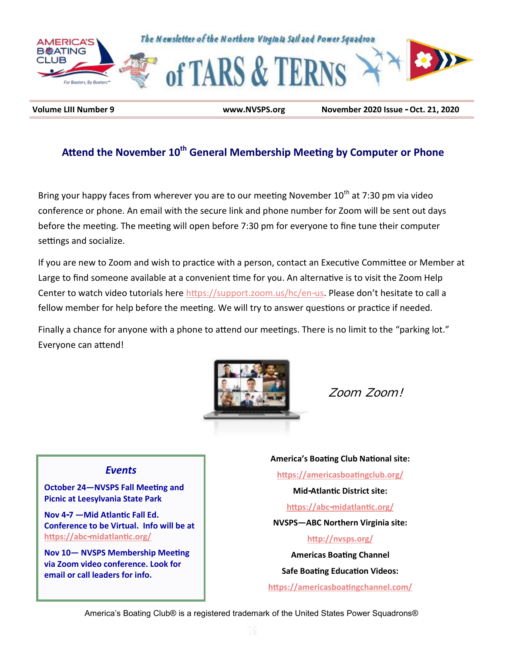

**Volume LIII Number 9 www.NVSPS.org November 2020 Issue - Oct. 21, 2020**

## **Attend the November 10th General Membership Meeting by Computer or Phone**

Bring your happy faces from wherever you are to our meeting November 10<sup>th</sup> at 7:30 pm via video conference or phone. An email with the secure link and phone number for Zoom will be sent out days before the meeting. The meeting will open before 7:30 pm for everyone to fine tune their computer settings and socialize.

If you are new to Zoom and wish to practice with a person, contact an Executive Committee or Member at Large to find someone available at a convenient time for you. An alternative is to visit the Zoom Help Center to watch video tutorials here [https://support.zoom.us/hc/en-us.](https://support.zoom.us/hc/en-us) Please don't hesitate to call a fellow member for help before the meeting. We will try to answer questions or practice if needed.

Finally a chance for anyone with a phone to attend our meetings. There is no limit to the "parking lot." Everyone can attend!



*Zoom Zoom!* 

### *Events*

**October 24—NVSPS Fall Meeting and Picnic at Leesylvania State Park**

**Nov 4-7 —Mid Atlantic Fall Ed. Conference to be Virtual. Info will be at <https://abc-midatlantic.org/>**

**Nov 10— NVSPS Membership Meeting via Zoom video conference. Look for email or call leaders for info.**

**America's Boating Club National site: <https://americasboatingclub.org/> Mid-Atlantic District site: <https://abc-midatlantic.org/> NVSPS—ABC Northern Virginia site: <http://nvsps.org/> Americas Boating Channel Safe Boating Education Videos: <https://americasboatingchannel.com/>**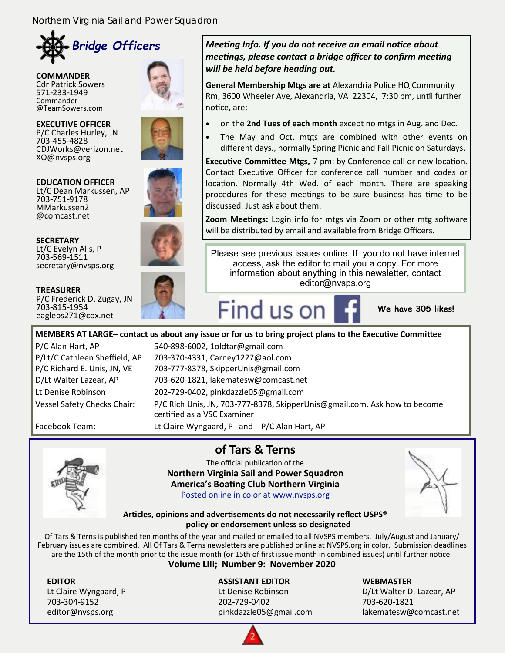

**COMMANDER** Cdr Patrick Sowers 571-233-1949 Commander @TeamSowers.com





**EDUCATION OFFICER** Lt/C Dean Markussen, AP 703-751-9178 MMarkussen2 @comcast.net



P/C Frederick D. Zugay, JN

**TREASURER**

703-815-1954 eaglebs271@cox.net



#### *Meeting Info. If you do not receive an email notice about meetings, please contact a bridge officer to confirm meeting will be held before heading out.*

**General Membership Mtgs are at** Alexandria Police HQ Community Rm, 3600 Wheeler Ave, Alexandria, VA 22304, 7:30 pm, until further notice, are:

- on the **2nd Tues of each month** except no mtgs in Aug. and Dec.
- The May and Oct. mtgs are combined with other events on different days., normally Spring Picnic and Fall Picnic on Saturdays.

**Executive Committee Mtgs,** 7 pm: by Conference call or new location. Contact Executive Officer for conference call number and codes or location. Normally 4th Wed. of each month. There are speaking procedures for these meetings to be sure business has time to be discussed. Just ask about them.

**Zoom Meetings:** Login info for mtgs via Zoom or other mtg software will be distributed by email and available from Bridge Officers.

Please see previous issues online. If you do not have internet access, ask the editor to mail you a copy. For more information about anything in this newsletter, contact editor@nvsps.org



**We have 305 likes!**

**MEMBERS AT LARGE– contact us about any issue or for us to bring project plans to the Executive Committee** P/C Alan Hart, AP 540-898-6002, 1oldtar@gmail.com

P/Lt/C Cathleen Sheffield, AP 703-370-4331, Carney1227@aol.com P/C Richard E. Unis, JN, VE 703-777-8378, SkipperUnis@gmail.com D/Lt Walter Lazear, AP 703-620-1821, lakematesw@comcast.net Lt Denise Robinson 202-729-0402, pinkdazzle05@gmail.com Vessel Safety Checks Chair: P/C Rich Unis, JN, 703-777-8378, SkipperUnis@gmail.com, Ask how to become certified as a VSC Examiner Facebook Team: Lt Claire Wyngaard, P and P/C Alan Hart, AP

## **of Tars & Terns**

The official publication of the **Northern Virginia Sail and Power Squadron America's Boating Club Northern Virginia** Posted online in color at [www.nvsps.org](http://www.nvsps.org)



**Articles, opinions and advertisements do not necessarily reflect USPS® policy or endorsement unless so designated**

Of Tars & Terns is published ten months of the year and mailed or emailed to all NVSPS members. July/August and January/ February issues are combined. All Of Tars & Terns newsletters are published online at NVSPS.org in color. Submission deadlines are the 15th of the month prior to the issue month (or 15th of first issue month in combined issues) until further notice.

### **Volume LIII; Number 9: November 2020**

703-304-9152 202-729-0402 703-620-1821

#### **EDITOR ASSISTANT EDITOR WEBMASTER**

Lt Claire Wyngaard, P Lt Denise Robinson D/Lt Walter D. Lazear, AP editor@nvsps.org pinkdazzle05@gmail.com lakematesw@comcast.net

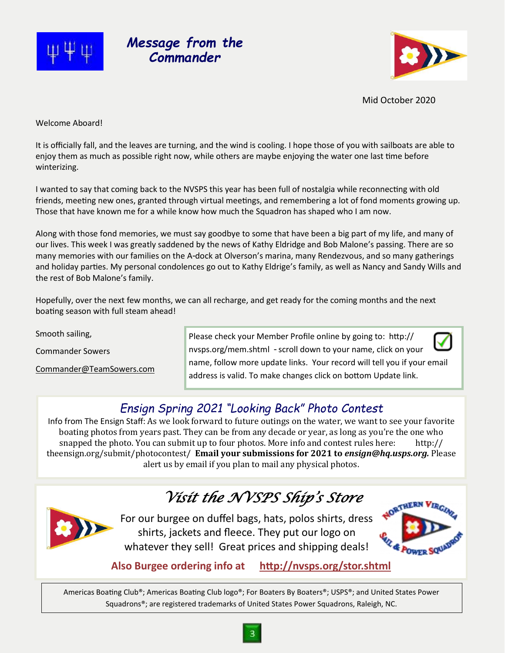





Mid October 2020

Welcome Aboard!

It is officially fall, and the leaves are turning, and the wind is cooling. I hope those of you with sailboats are able to enjoy them as much as possible right now, while others are maybe enjoying the water one last time before winterizing.

I wanted to say that coming back to the NVSPS this year has been full of nostalgia while reconnecting with old friends, meeting new ones, granted through virtual meetings, and remembering a lot of fond moments growing up. Those that have known me for a while know how much the Squadron has shaped who I am now.

Along with those fond memories, we must say goodbye to some that have been a big part of my life, and many of our lives. This week I was greatly saddened by the news of Kathy Eldridge and Bob Malone's passing. There are so many memories with our families on the A-dock at Olverson's marina, many Rendezvous, and so many gatherings and holiday parties. My personal condolences go out to Kathy Eldrige's family, as well as Nancy and Sandy Wills and the rest of Bob Malone's family.

Hopefully, over the next few months, we can all recharge, and get ready for the coming months and the next boating season with full steam ahead!

Smooth sailing,

Commander Sowers

[Commander@TeamSowers.com](mailto:Commander@TeamSowers.com)

Please check your Member Profile online by going to: http:// nvsps.org/mem.shtml - scroll down to your name, click on your name, follow more update links. Your record will tell you if your email address is valid. To make changes click on bottom Update link.

## *Ensign Spring 2021 "Looking Back" Photo Contest*

Info from The Ensign Staff: As we look forward to future outings on the water, we want to see your favorite boating photos from years past. They can be from any decade or year, as long as you're the one who snapped the photo. You can submit up to four photos. More info and contest rules here: http:// theensign.org/submit/photocontest/ **Email your submissions for 2021 to** *ensign@hq.usps.org.* Please alert us by email if you plan to mail any physical photos.

# *Visit the NVSPS Ship's Store*



For our burgee on duffel bags, hats, polos shirts, dress shirts, jackets and fleece. They put our logo on whatever they sell! Great prices and shipping deals!



**Also Burgee ordering info at <http://nvsps.org/stor.shtml>**

Americas Boating Club®; Americas Boating Club logo®; For Boaters By Boaters®; USPS®; and United States Power Squadrons®; are registered trademarks of United States Power Squadrons, Raleigh, NC.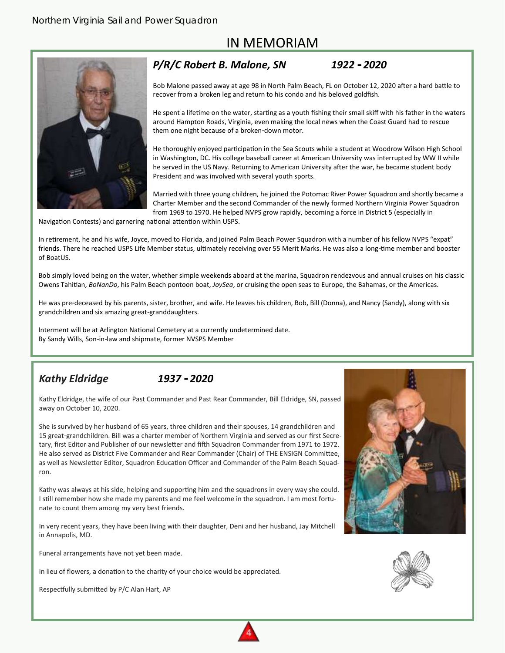## IN MEMORIAM



### *P/R/C Robert B. Malone, SN 1922 - 2020*

Bob Malone passed away at age 98 in North Palm Beach, FL on October 12, 2020 after a hard battle to recover from a broken leg and return to his condo and his beloved goldfish.

He spent a lifetime on the water, starting as a youth fishing their small skiff with his father in the waters around Hampton Roads, Virginia, even making the local news when the Coast Guard had to rescue them one night because of a broken-down motor.

He thoroughly enjoyed participation in the Sea Scouts while a student at Woodrow Wilson High School in Washington, DC. His college baseball career at American University was interrupted by WW II while he served in the US Navy. Returning to American University after the war, he became student body President and was involved with several youth sports.

Married with three young children, he joined the Potomac River Power Squadron and shortly became a Charter Member and the second Commander of the newly formed Northern Virginia Power Squadron from 1969 to 1970. He helped NVPS grow rapidly, becoming a force in District 5 (especially in

Navigation Contests) and garnering national attention within USPS.

In retirement, he and his wife, Joyce, moved to Florida, and joined Palm Beach Power Squadron with a number of his fellow NVPS "expat" friends. There he reached USPS Life Member status, ultimately receiving over 55 Merit Marks. He was also a long-time member and booster of BoatUS.

Bob simply loved being on the water, whether simple weekends aboard at the marina, Squadron rendezvous and annual cruises on his classic Owens Tahitian, *BoNanDo*, his Palm Beach pontoon boat, *JoySea*, or cruising the open seas to Europe, the Bahamas, or the Americas.

He was pre-deceased by his parents, sister, brother, and wife. He leaves his children, Bob, Bill (Donna), and Nancy (Sandy), along with six grandchildren and six amazing great-granddaughters.

Interment will be at Arlington National Cemetery at a currently undetermined date. By Sandy Wills, Son-in-law and shipmate, former NVSPS Member

### *Kathy Eldridge 1937 - 2020*

Kathy Eldridge, the wife of our Past Commander and Past Rear Commander, Bill Eldridge, SN, passed away on October 10, 2020.

She is survived by her husband of 65 years, three children and their spouses, 14 grandchildren and 15 great-grandchildren. Bill was a charter member of Northern Virginia and served as our first Secretary, first Editor and Publisher of our newsletter and fifth Squadron Commander from 1971 to 1972. He also served as District Five Commander and Rear Commander (Chair) of THE ENSIGN Committee, as well as Newsletter Editor, Squadron Education Officer and Commander of the Palm Beach Squadron.

Kathy was always at his side, helping and supporting him and the squadrons in every way she could. I still remember how she made my parents and me feel welcome in the squadron. I am most fortunate to count them among my very best friends.

In very recent years, they have been living with their daughter, Deni and her husband, Jay Mitchell in Annapolis, MD.

Funeral arrangements have not yet been made.

In lieu of flowers, a donation to the charity of your choice would be appreciated.

Respectfully submitted by P/C Alan Hart, AP



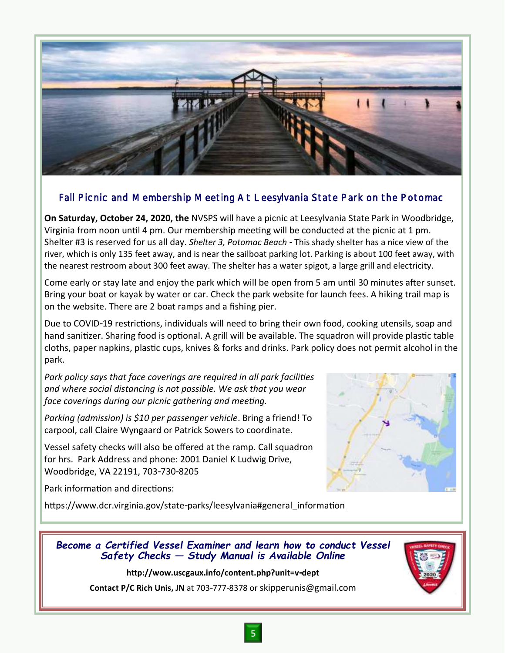

### Fall Picnic and Membership Meeting At Leesylvania State Park on the Potomac

**On Saturday, October 24, 2020, the** NVSPS will have a picnic at Leesylvania State Park in Woodbridge, Virginia from noon until 4 pm. Our membership meeting will be conducted at the picnic at 1 pm. Shelter #3 is reserved for us all day. *Shelter 3, Potomac Beach* - This shady shelter has a nice view of the river, which is only 135 feet away, and is near the sailboat parking lot. Parking is about 100 feet away, with the nearest restroom about 300 feet away. The shelter has a water spigot, a large grill and electricity.

Come early or stay late and enjoy the park which will be open from 5 am until 30 minutes after sunset. Bring your boat or kayak by water or car. Check the park website for launch fees. A hiking trail map is on the website. There are 2 boat ramps and a fishing pier.

Due to COVID-19 restrictions, individuals will need to bring their own food, cooking utensils, soap and hand sanitizer. Sharing food is optional. A grill will be available. The squadron will provide plastic table cloths, paper napkins, plastic cups, knives & forks and drinks. Park policy does not permit alcohol in the park.

*Park policy says that face coverings are required in all park facilities and where social distancing is not possible. We ask that you wear face coverings during our picnic gathering and meeting.* 

*Parking (admission) is \$10 per passenger vehicle*. Bring a friend! To carpool, call Claire Wyngaard or Patrick Sowers to coordinate.

Vessel safety checks will also be offered at the ramp. Call squadron for hrs. Park Address and phone: 2001 Daniel K Ludwig Drive, Woodbridge, VA 22191, 703-730-8205

Park information and directions:

[https://www.dcr.virginia.gov/state-parks/leesylvania#general\\_information](https://www.dcr.virginia.gov/state-parks/leesylvania#general_information)



### *Become a Certified Vessel Examiner and learn how to conduct Vessel Safety Checks — Study Manual is Available Online*

#### **http://wow.uscgaux.info/content.php?unit=v-dept**

**Contact P/C Rich Unis, JN** at 703-777-8378 or skipperunis@gmail.com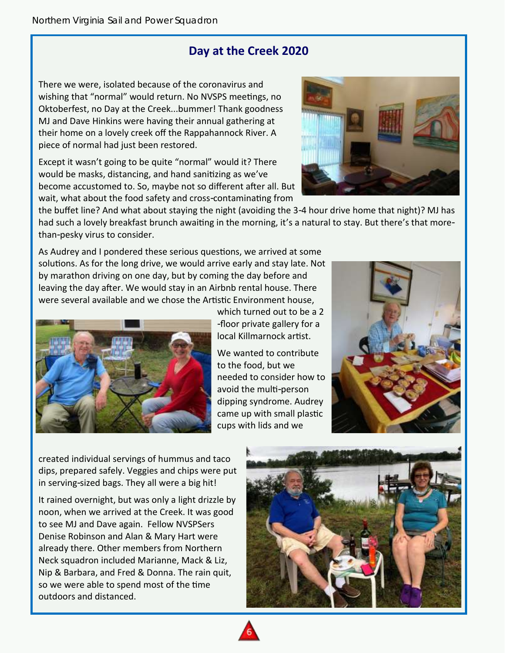## **Day at the Creek 2020**

There we were, isolated because of the coronavirus and wishing that "normal" would return. No NVSPS meetings, no Oktoberfest, no Day at the Creek...bummer! Thank goodness MJ and Dave Hinkins were having their annual gathering at their home on a lovely creek off the Rappahannock River. A piece of normal had just been restored.

Except it wasn't going to be quite "normal" would it? There would be masks, distancing, and hand sanitizing as we've become accustomed to. So, maybe not so different after all. But wait, what about the food safety and cross-contaminating from



the buffet line? And what about staying the night (avoiding the 3-4 hour drive home that night)? MJ has had such a lovely breakfast brunch awaiting in the morning, it's a natural to stay. But there's that morethan-pesky virus to consider.

As Audrey and I pondered these serious questions, we arrived at some solutions. As for the long drive, we would arrive early and stay late. Not by marathon driving on one day, but by coming the day before and leaving the day after. We would stay in an Airbnb rental house. There were several available and we chose the Artistic Environment house,



which turned out to be a 2 -floor private gallery for a local Killmarnock artist.

We wanted to contribute to the food, but we needed to consider how to avoid the multi-person dipping syndrome. Audrey came up with small plastic cups with lids and we



created individual servings of hummus and taco dips, prepared safely. Veggies and chips were put in serving-sized bags. They all were a big hit!

It rained overnight, but was only a light drizzle by noon, when we arrived at the Creek. It was good to see MJ and Dave again. Fellow NVSPSers Denise Robinson and Alan & Mary Hart were already there. Other members from Northern Neck squadron included Marianne, Mack & Liz, Nip & Barbara, and Fred & Donna. The rain quit, so we were able to spend most of the time outdoors and distanced.



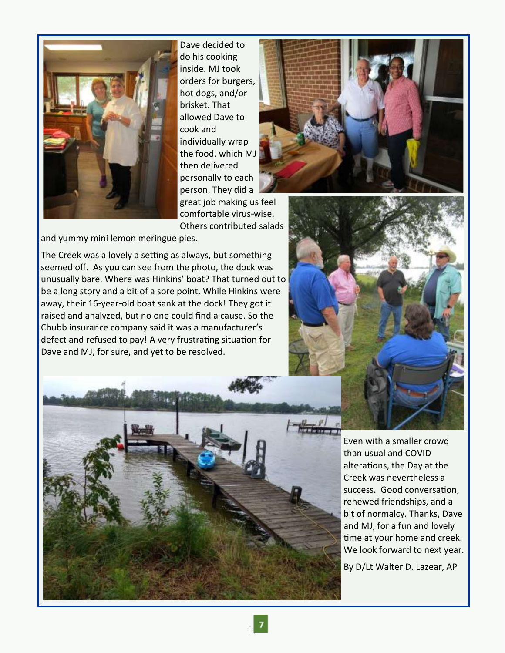

Dave decided to do his cooking inside. MJ took orders for burgers, hot dogs, and/or brisket. That allowed Dave to cook and individually wrap the food, which MJ then delivered personally to each person. They did a great job making us feel



comfortable virus-wise. Others contributed salads

and yummy mini lemon meringue pies.

The Creek was a lovely a setting as always, but something seemed off. As you can see from the photo, the dock was unusually bare. Where was Hinkins' boat? That turned out to be a long story and a bit of a sore point. While Hinkins were away, their 16-year-old boat sank at the dock! They got it raised and analyzed, but no one could find a cause. So the Chubb insurance company said it was a manufacturer's defect and refused to pay! A very frustrating situation for Dave and MJ, for sure, and yet to be resolved.





Even with a smaller crowd than usual and COVID alterations, the Day at the Creek was nevertheless a success. Good conversation, renewed friendships, and a bit of normalcy. Thanks, Dave and MJ, for a fun and lovely time at your home and creek. We look forward to next year.

By D/Lt Walter D. Lazear, AP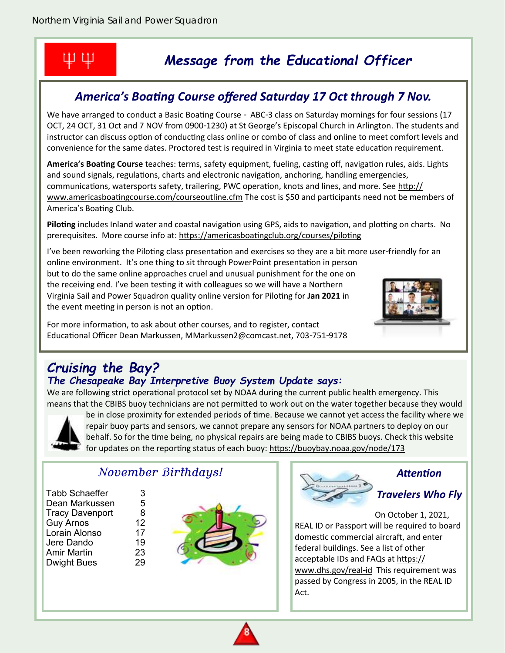## ΨΨ

## *Message from the Educational Officer*

## *America's Boating Course offered Saturday 17 Oct through 7 Nov.*

We have arranged to conduct a Basic Boating Course - ABC-3 class on Saturday mornings for four sessions (17 OCT, 24 OCT, 31 Oct and 7 NOV from 0900-1230) at St George's Episcopal Church in Arlington. The students and instructor can discuss option of conducting class online or combo of class and online to meet comfort levels and convenience for the same dates. Proctored test is required in Virginia to meet state education requirement.

**America's Boating Course** teaches: terms, safety equipment, fueling, casting off, navigation rules, aids. Lights and sound signals, regulations, charts and electronic navigation, anchoring, handling emergencies, communications, watersports safety, trailering, PWC operation, knots and lines, and more. See [http://](http://www.americasboatingcourse.com/courseoutline.cfm) [www.americasboatingcourse.com/courseoutline.cfm](http://www.americasboatingcourse.com/courseoutline.cfm) The cost is \$50 and participants need not be members of America's Boating Club.

**Piloting** includes Inland water and coastal navigation using GPS, aids to navigation, and plotting on charts. No prerequisites. More course info at: https://americasboatingclub.org/courses/piloting

I've been reworking the Piloting class presentation and exercises so they are a bit more user-friendly for an online environment. It's one thing to sit through PowerPoint presentation in person but to do the same online approaches cruel and unusual punishment for the one on the receiving end. I've been testing it with colleagues so we will have a Northern Virginia Sail and Power Squadron quality online version for Piloting for **Jan 2021** in the event meeting in person is not an option.

For more information, to ask about other courses, and to register, contact Educational Officer Dean Markussen, MMarkussen2@comcast.net, 703-751-9178



## *Cruising the Bay?*

## *The Chesapeake Bay Interpretive Buoy System Update says:*

We are following strict operational protocol set by NOAA during the current public health emergency. This means that the CBIBS buoy technicians are not permitted to work out on the water together because they would



be in close proximity for extended periods of time. Because we cannot yet access the facility where we repair buoy parts and sensors, we cannot prepare any sensors for NOAA partners to deploy on our behalf. So for the time being, no physical repairs are being made to CBIBS buoys. Check this website for updates on the reporting status of each buoy: <https://buoybay.noaa.gov/node/173>

## *November Birthdays!*

| <b>Tabb Schaeffer</b>  | З  |
|------------------------|----|
| Dean Markussen         | 5  |
| <b>Tracy Davenport</b> | 8  |
| <b>Guy Arnos</b>       | 12 |
| Lorain Alonso          | 17 |
| Jere Dando             | 19 |
| <b>Amir Martin</b>     | 23 |
| <b>Dwight Bues</b>     | 29 |
|                        |    |





### *Attention*

### *Travelers Who Fly*

On October 1, 2021, REAL ID or Passport will be required to board domestic commercial aircraft, and enter federal buildings. See a list of other acceptable IDs and FAQs at [https://](https://www.dhs.gov/real-id) [www.dhs.gov/real-id](https://www.dhs.gov/real-id) This requirement was passed by Congress in 2005, in the REAL ID Act.

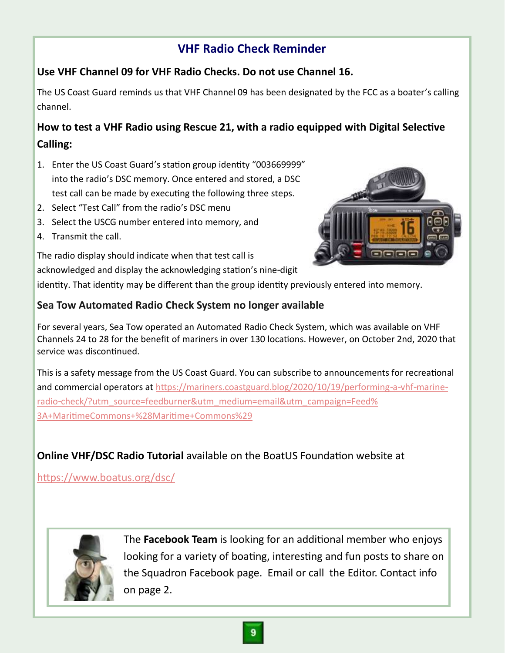## **VHF Radio Check Reminder**

## **Use VHF Channel 09 for VHF Radio Checks. Do not use Channel 16.**

The US Coast Guard reminds us that VHF Channel 09 has been designated by the FCC as a boater's calling channel.

## **How to test a VHF Radio using Rescue 21, with a radio equipped with Digital Selective Calling:**

- 1. Enter the US Coast Guard's station group identity "003669999" into the radio's DSC memory. Once entered and stored, a DSC test call can be made by executing the following three steps.
- 2. Select "Test Call" from the radio's DSC menu
- 3. Select the USCG number entered into memory, and

The radio display should indicate when that test call is

4. Transmit the call.

acknowledged and display the acknowledging station's nine-digit identity. That identity may be different than the group identity previously entered into memory.

### **Sea Tow Automated Radio Check System no longer available**

For several years, Sea Tow operated an Automated Radio Check System, which was available on VHF Channels 24 to 28 for the benefit of mariners in over 130 locations. However, on October 2nd, 2020 that service was discontinued.

This is a safety message from the US Coast Guard. You can subscribe to announcements for recreational and commercial operators at [https://mariners.coastguard.blog/2020/10/19/performing-a-vhf-marine](https://mariners.coastguard.blog/2020/10/19/performing-a-vhf-marine-radio-check/?utm_source=feedburner&utm_medium=email&utm_campaign=Feed%3A+MaritimeCommons+%28Maritime+Commons%29)[radio-check/?utm\\_source=feedburner&utm\\_medium=email&utm\\_campaign=Feed%](https://mariners.coastguard.blog/2020/10/19/performing-a-vhf-marine-radio-check/?utm_source=feedburner&utm_medium=email&utm_campaign=Feed%3A+MaritimeCommons+%28Maritime+Commons%29) [3A+MaritimeCommons+%28Maritime+Commons%29](https://mariners.coastguard.blog/2020/10/19/performing-a-vhf-marine-radio-check/?utm_source=feedburner&utm_medium=email&utm_campaign=Feed%3A+MaritimeCommons+%28Maritime+Commons%29)

## **Online VHF/DSC Radio Tutorial** available on the BoatUS Foundation website at

<https://www.boatus.org/dsc/>



The **Facebook Team** is looking for an additional member who enjoys looking for a variety of boating, interesting and fun posts to share on the Squadron Facebook page. Email or call the Editor. Contact info on page 2.